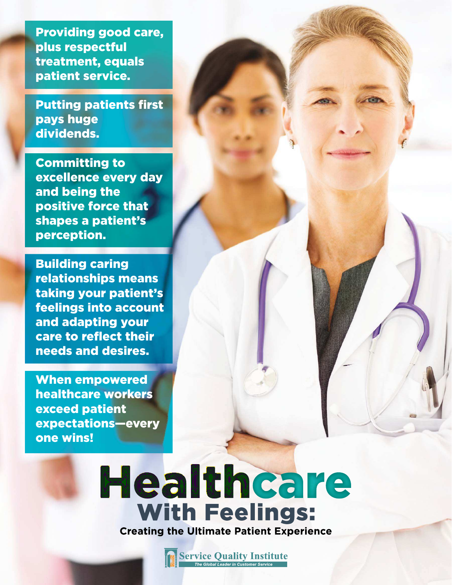Providing good care, plus respectful treatment, equals patient service.

Putting patients first pays huge dividends.

Committing to excellence every day and being the positive force that shapes a patient's perception.

Building caring relationships means taking your patient's feelings into account and adapting your care to reflect their needs and desires.

When empowered healthcare workers exceed patient expectations—every one wins!

### Healthcare **With Feelings: Creating the Ultimate Patient Experience**

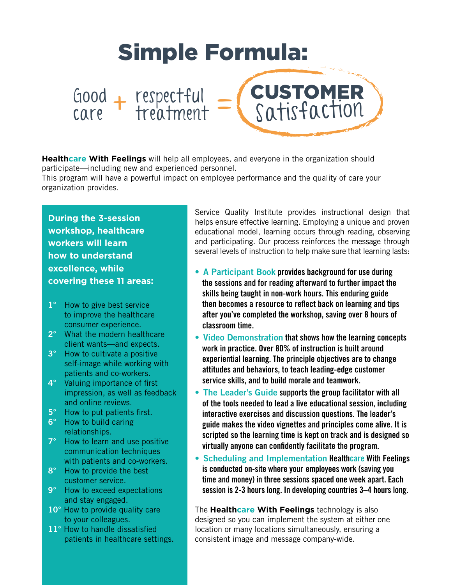

**Healthcare With Feelings** will help all employees, and everyone in the organization should participate—including new and experienced personnel.

This program will have a powerful impact on employee performance and the quality of care your organization provides.

**During the 3-session workshop, healthcare workers will learn how to understand excellence, while covering these 11 areas:**

- 1° How to give best service to improve the healthcare consumer experience.
- 2° What the modern healthcare client wants—and expects.
- 3° How to cultivate a positive self-image while working with patients and co-workers.
- 4° Valuing importance of first impression, as well as feedback and online reviews.
- 5° How to put patients first.
- 6° How to build caring relationships.
- 7° How to learn and use positive communication techniques with patients and co-workers.
- 8° How to provide the best customer service.
- 9° How to exceed expectations and stay engaged.
- 10° How to provide quality care to your colleagues.
- 11° How to handle dissatisfied patients in healthcare settings.

Service Quality Institute provides instructional design that helps ensure effective learning. Employing a unique and proven educational model, learning occurs through reading, observing and participating. Our process reinforces the message through several levels of instruction to help make sure that learning lasts:

- A Participant Book provides background for use during the sessions and for reading afterward to further impact the skills being taught in non-work hours. This enduring guide then becomes a resource to reflect back on learning and tips after you've completed the workshop, saving over 8 hours of classroom time.
- Video Demonstration that shows how the learning concepts work in practice. Over 80% of instruction is built around experiential learning. The principle objectives are to change attitudes and behaviors, to teach leading-edge customer service skills, and to build morale and teamwork.
- The Leader's Guide supports the group facilitator with all of the tools needed to lead a live educational session, including interactive exercises and discussion questions. The leader's guide makes the video vignettes and principles come alive. It is scripted so the learning time is kept on track and is designed so virtually anyone can confidently facilitate the program.
- Scheduling and Implementation Healthcare With Feelings is conducted on-site where your employees work (saving you time and money) in three sessions spaced one week apart. Each session is 2-3 hours long. In developing countries 3–4 hours long.

The **Healthcare With Feelings** technology is also designed so you can implement the system at either one location or many locations simultaneously, ensuring a consistent image and message company-wide.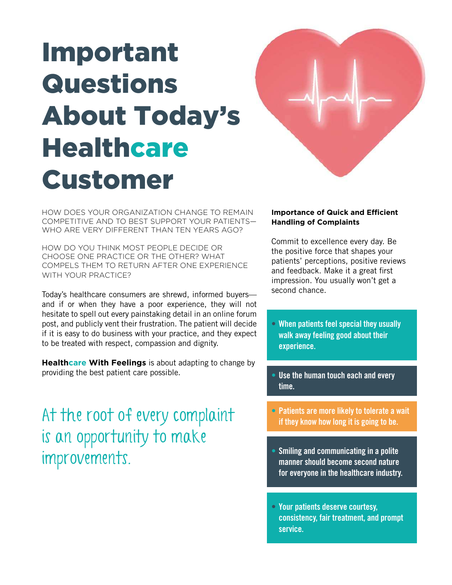# Important Questions About Today's **Healthcare** Customer



HOW DOES YOUR ORGANIZATION CHANGE TO REMAIN COMPETITIVE AND TO BEST SUPPORT YOUR PATIENTS— WHO ARE VERY DIFFERENT THAN TEN YEARS AGO?

HOW DO YOU THINK MOST PEOPLE DECIDE OR CHOOSE ONE PRACTICE OR THE OTHER? WHAT COMPELS THEM TO RETURN AFTER ONE EXPERIENCE WITH YOUR PRACTICE?

Today's healthcare consumers are shrewd, informed buyers and if or when they have a poor experience, they will not hesitate to spell out every painstaking detail in an online forum post, and publicly vent their frustration. The patient will decide if it is easy to do business with your practice, and they expect to be treated with respect, compassion and dignity.

**Healthcare With Feelings** is about adapting to change by providing the best patient care possible.

At the root of every complaint is an opportunity to make improvements.

### **Importance of Quick and Efficient Handling of Complaints**

Commit to excellence every day. Be the positive force that shapes your patients' perceptions, positive reviews and feedback. Make it a great first impression. You usually won't get a second chance.

- When patients feel special they usually walk away feeling good about their experience.
- Use the human touch each and every time.
- Patients are more likely to tolerate a wait if they know how long it is going to be.
- Smiling and communicating in a polite manner should become second nature for everyone in the healthcare industry.
- Your patients deserve courtesy, consistency, fair treatment, and prompt service.